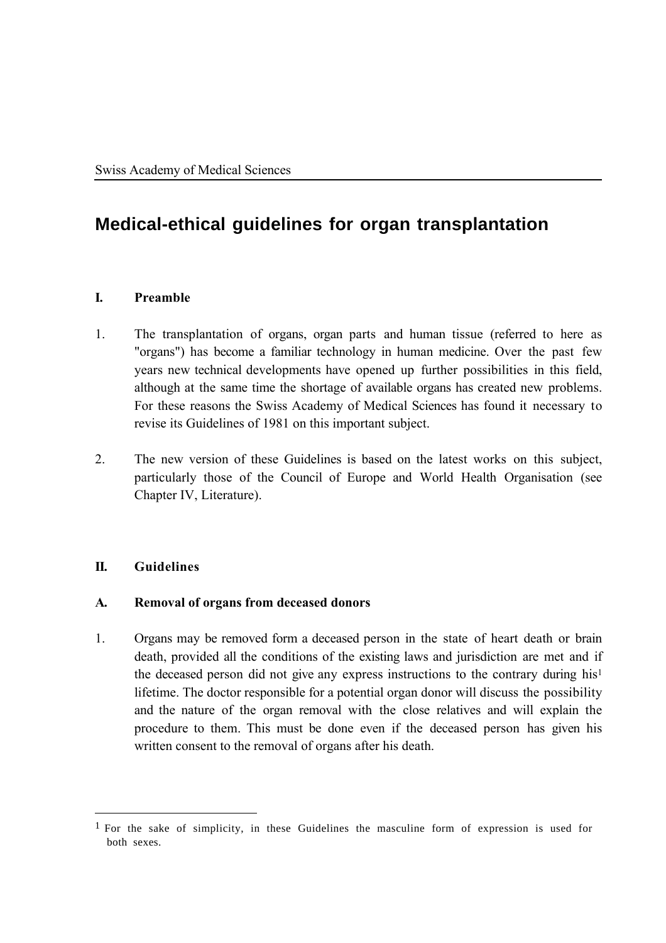# **Medical-ethical guidelines for organ transplantation**

## **I. Preamble**

- 1. The transplantation of organs, organ parts and human tissue (referred to here as "organs") has become a familiar technology in human medicine. Over the past few years new technical developments have opened up further possibilities in this field, although at the same time the shortage of available organs has created new problems. For these reasons the Swiss Academy of Medical Sciences has found it necessary to revise its Guidelines of 1981 on this important subject.
- 2. The new version of these Guidelines is based on the latest works on this subject, particularly those of the Council of Europe and World Health Organisation (see Chapter IV, Literature).

# **II. Guidelines**

 $\overline{a}$ 

## **A. Removal of organs from deceased donors**

1. Organs may be removed form a deceased person in the state of heart death or brain death, provided all the conditions of the existing laws and jurisdiction are met and if the deceased person did not give any express instructions to the contrary during his1 lifetime. The doctor responsible for a potential organ donor will discuss the possibility and the nature of the organ removal with the close relatives and will explain the procedure to them. This must be done even if the deceased person has given his written consent to the removal of organs after his death.

<sup>&</sup>lt;sup>1</sup> For the sake of simplicity, in these Guidelines the masculine form of expression is used for both sexes.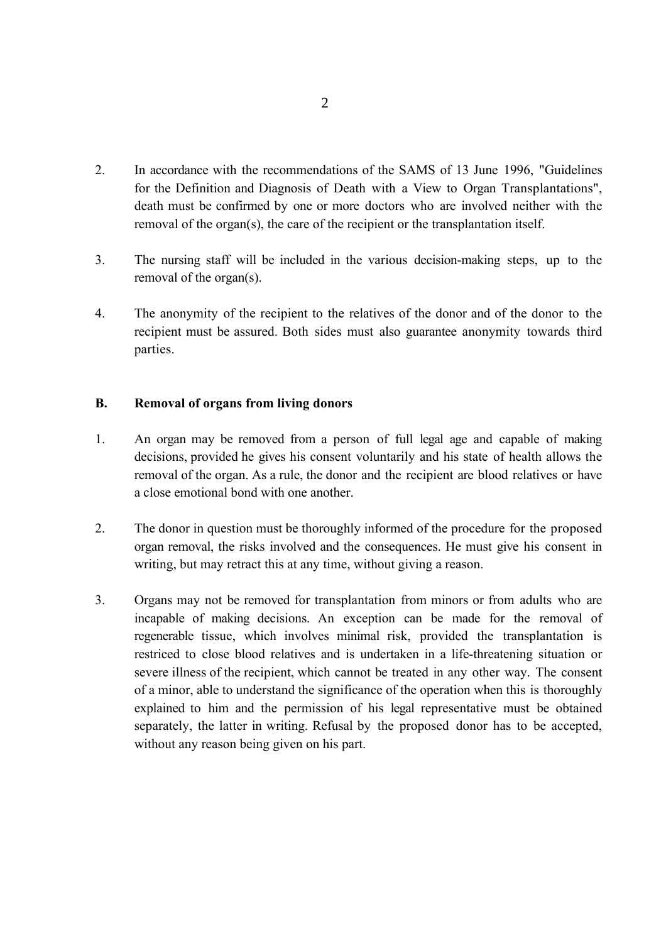- 2. In accordance with the recommendations of the SAMS of 13 June 1996, "Guidelines for the Definition and Diagnosis of Death with a View to Organ Transplantations", death must be confirmed by one or more doctors who are involved neither with the removal of the organ(s), the care of the recipient or the transplantation itself.
- 3. The nursing staff will be included in the various decision-making steps, up to the removal of the organ(s).
- 4. The anonymity of the recipient to the relatives of the donor and of the donor to the recipient must be assured. Both sides must also guarantee anonymity towards third parties.

## **B. Removal of organs from living donors**

- 1. An organ may be removed from a person of full legal age and capable of making decisions, provided he gives his consent voluntarily and his state of health allows the removal of the organ. As a rule, the donor and the recipient are blood relatives or have a close emotional bond with one another.
- 2. The donor in question must be thoroughly informed of the procedure for the proposed organ removal, the risks involved and the consequences. He must give his consent in writing, but may retract this at any time, without giving a reason.
- 3. Organs may not be removed for transplantation from minors or from adults who are incapable of making decisions. An exception can be made for the removal of regenerable tissue, which involves minimal risk, provided the transplantation is restriced to close blood relatives and is undertaken in a life-threatening situation or severe illness of the recipient, which cannot be treated in any other way. The consent of a minor, able to understand the significance of the operation when this is thoroughly explained to him and the permission of his legal representative must be obtained separately, the latter in writing. Refusal by the proposed donor has to be accepted, without any reason being given on his part.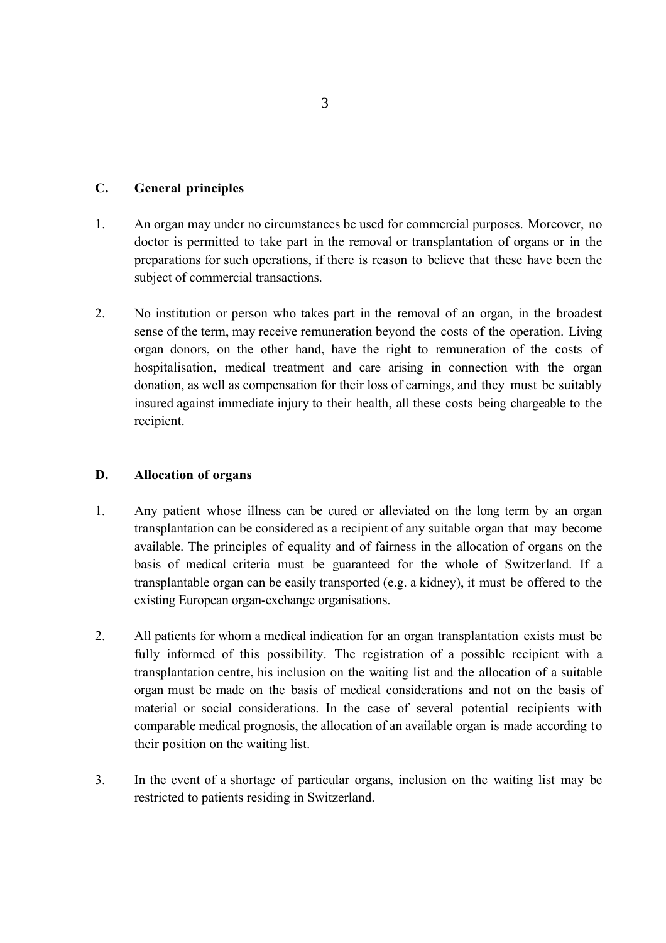# **C. General principles**

- 1. An organ may under no circumstances be used for commercial purposes. Moreover, no doctor is permitted to take part in the removal or transplantation of organs or in the preparations for such operations, if there is reason to believe that these have been the subject of commercial transactions.
- 2. No institution or person who takes part in the removal of an organ, in the broadest sense of the term, may receive remuneration beyond the costs of the operation. Living organ donors, on the other hand, have the right to remuneration of the costs of hospitalisation, medical treatment and care arising in connection with the organ donation, as well as compensation for their loss of earnings, and they must be suitably insured against immediate injury to their health, all these costs being chargeable to the recipient.

# **D. Allocation of organs**

- 1. Any patient whose illness can be cured or alleviated on the long term by an organ transplantation can be considered as a recipient of any suitable organ that may become available. The principles of equality and of fairness in the allocation of organs on the basis of medical criteria must be guaranteed for the whole of Switzerland. If a transplantable organ can be easily transported (e.g. a kidney), it must be offered to the existing European organ-exchange organisations.
- 2. All patients for whom a medical indication for an organ transplantation exists must be fully informed of this possibility. The registration of a possible recipient with a transplantation centre, his inclusion on the waiting list and the allocation of a suitable organ must be made on the basis of medical considerations and not on the basis of material or social considerations. In the case of several potential recipients with comparable medical prognosis, the allocation of an available organ is made according to their position on the waiting list.
- 3. In the event of a shortage of particular organs, inclusion on the waiting list may be restricted to patients residing in Switzerland.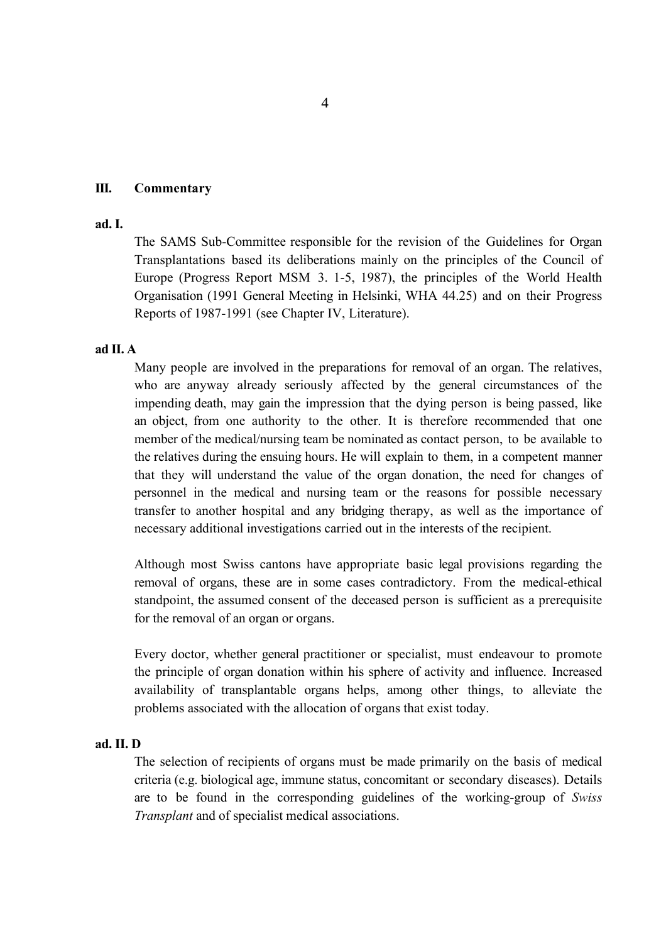#### 4

## **III. Commentary**

#### **ad. I.**

The SAMS Sub-Committee responsible for the revision of the Guidelines for Organ Transplantations based its deliberations mainly on the principles of the Council of Europe (Progress Report MSM 3. 1-5, 1987), the principles of the World Health Organisation (1991 General Meeting in Helsinki, WHA 44.25) and on their Progress Reports of 1987-1991 (see Chapter IV, Literature).

### **ad II. A**

Many people are involved in the preparations for removal of an organ. The relatives, who are anyway already seriously affected by the general circumstances of the impending death, may gain the impression that the dying person is being passed, like an object, from one authority to the other. It is therefore recommended that one member of the medical/nursing team be nominated as contact person, to be available to the relatives during the ensuing hours. He will explain to them, in a competent manner that they will understand the value of the organ donation, the need for changes of personnel in the medical and nursing team or the reasons for possible necessary transfer to another hospital and any bridging therapy, as well as the importance of necessary additional investigations carried out in the interests of the recipient.

Although most Swiss cantons have appropriate basic legal provisions regarding the removal of organs, these are in some cases contradictory. From the medical-ethical standpoint, the assumed consent of the deceased person is sufficient as a prerequisite for the removal of an organ or organs.

Every doctor, whether general practitioner or specialist, must endeavour to promote the principle of organ donation within his sphere of activity and influence. Increased availability of transplantable organs helps, among other things, to alleviate the problems associated with the allocation of organs that exist today.

#### **ad. II. D**

The selection of recipients of organs must be made primarily on the basis of medical criteria (e.g. biological age, immune status, concomitant or secondary diseases). Details are to be found in the corresponding guidelines of the working-group of *Swiss Transplant* and of specialist medical associations.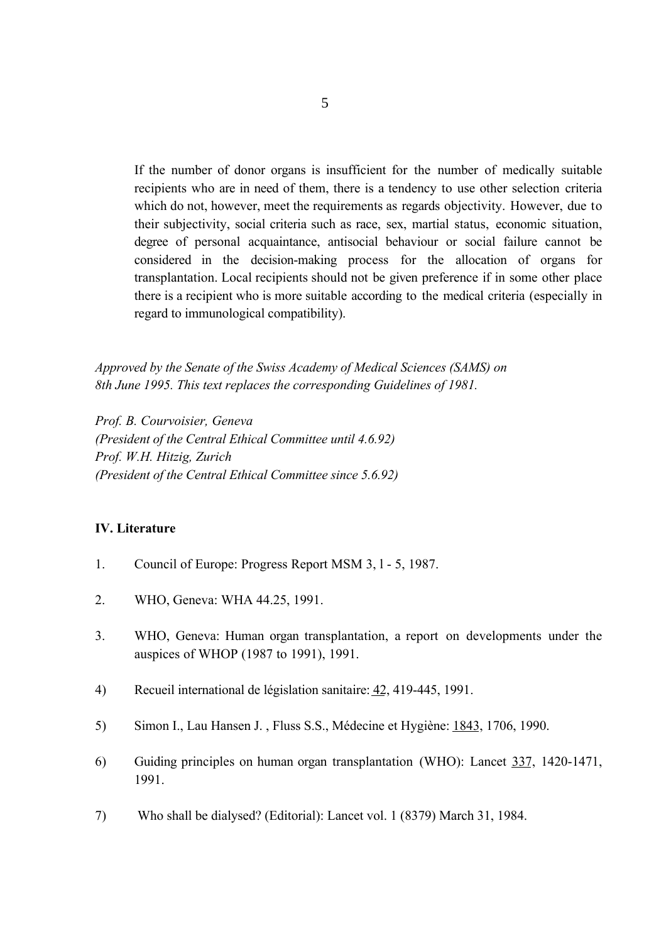If the number of donor organs is insufficient for the number of medically suitable recipients who are in need of them, there is a tendency to use other selection criteria which do not, however, meet the requirements as regards objectivity. However, due to their subjectivity, social criteria such as race, sex, martial status, economic situation, degree of personal acquaintance, antisocial behaviour or social failure cannot be considered in the decision-making process for the allocation of organs for transplantation. Local recipients should not be given preference if in some other place there is a recipient who is more suitable according to the medical criteria (especially in regard to immunological compatibility).

*Approved by the Senate of the Swiss Academy of Medical Sciences (SAMS) on 8th June 1995. This text replaces the corresponding Guidelines of 1981.*

*Prof. B. Courvoisier, Geneva (President of the Central Ethical Committee until 4.6.92) Prof. W.H. Hitzig, Zurich (President of the Central Ethical Committee since 5.6.92)*

## **IV. Literature**

- 1. Council of Europe: Progress Report MSM 3, l 5, 1987.
- 2. WHO, Geneva: WHA 44.25, 1991.
- 3. WHO, Geneva: Human organ transplantation, a report on developments under the auspices of WHOP (1987 to 1991), 1991.
- 4) Recueil international de législation sanitaire: 42, 419-445, 1991.
- 5) Simon I., Lau Hansen J. , Fluss S.S., Médecine et Hygiène: 1843, 1706, 1990.
- 6) Guiding principles on human organ transplantation (WHO): Lancet 337, 1420-1471, 1991.
- 7) Who shall be dialysed? (Editorial): Lancet vol. 1 (8379) March 31, 1984.